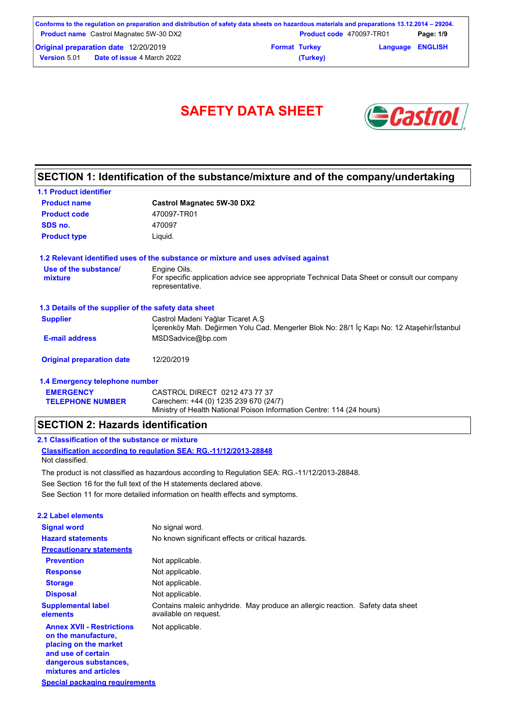| Conforms to the regulation on preparation and distribution of safety data sheets on hazardous materials and preparations 13.12.2014 – 29204. |                      |                                 |                         |           |
|----------------------------------------------------------------------------------------------------------------------------------------------|----------------------|---------------------------------|-------------------------|-----------|
| <b>Product name</b> Castrol Magnatec 5W-30 DX2                                                                                               |                      | <b>Product code</b> 470097-TR01 |                         | Page: 1/9 |
| <b>Original preparation date 12/20/2019</b>                                                                                                  | <b>Format Turkey</b> |                                 | <b>Language ENGLISH</b> |           |
| <b>Date of issue 4 March 2022</b><br><b>Version 5.01</b>                                                                                     |                      | (Turkey)                        |                         |           |

# **SAFETY DATA SHEET** *Castro*



## **SECTION 1: Identification of the substance/mixture and of the company/undertaking**

| <b>1.1 Product identifier</b>                        |                                                                                                                                 |
|------------------------------------------------------|---------------------------------------------------------------------------------------------------------------------------------|
| <b>Product name</b>                                  | <b>Castrol Magnatec 5W-30 DX2</b>                                                                                               |
| <b>Product code</b>                                  | 470097-TR01                                                                                                                     |
| SDS no.                                              | 470097                                                                                                                          |
| <b>Product type</b>                                  | Liquid.                                                                                                                         |
|                                                      | 1.2 Relevant identified uses of the substance or mixture and uses advised against                                               |
| Use of the substance/<br>mixture                     | Engine Oils.<br>For specific application advice see appropriate Technical Data Sheet or consult our company<br>representative.  |
| 1.3 Details of the supplier of the safety data sheet |                                                                                                                                 |
| <b>Supplier</b>                                      | Castrol Madeni Yağlar Ticaret A.Ş<br>İçerenköy Mah. Değirmen Yolu Cad. Mengerler Blok No: 28/1 İç Kapı No: 12 Ataşehir/İstanbul |
| <b>E-mail address</b>                                | MSDSadvice@bp.com                                                                                                               |
| <b>Original preparation date</b>                     | 12/20/2019                                                                                                                      |
| 1.4 Emergency telephone number                       |                                                                                                                                 |
| <b>EMERGENCY</b>                                     | CASTROL DIRECT 0212 473 77 37                                                                                                   |

Ministry of Health National Poison Information Centre: 114 (24 hours)

### **SECTION 2: Hazards identification**

### **2.1 Classification of the substance or mixture**

**TELEPHONE NUMBER**

**Classification according to regulation SEA: RG.-11/12/2013-28848** Not classified.

See Section 11 for more detailed information on health effects and symptoms. See Section 16 for the full text of the H statements declared above. The product is not classified as hazardous according to Regulation SEA: RG.-11/12/2013-28848.

Carechem: +44 (0) 1235 239 670 (24/7)

| <b>2.2 Label elements</b>                                                                                                                                |                                                                                                         |
|----------------------------------------------------------------------------------------------------------------------------------------------------------|---------------------------------------------------------------------------------------------------------|
| <b>Signal word</b>                                                                                                                                       | No signal word.                                                                                         |
| <b>Hazard statements</b>                                                                                                                                 | No known significant effects or critical hazards.                                                       |
| <b>Precautionary statements</b>                                                                                                                          |                                                                                                         |
| <b>Prevention</b>                                                                                                                                        | Not applicable.                                                                                         |
| <b>Response</b>                                                                                                                                          | Not applicable.                                                                                         |
| <b>Storage</b>                                                                                                                                           | Not applicable.                                                                                         |
| <b>Disposal</b>                                                                                                                                          | Not applicable.                                                                                         |
| <b>Supplemental label</b><br>elements                                                                                                                    | Contains maleic anhydride. May produce an allergic reaction. Safety data sheet<br>available on request. |
| <b>Annex XVII - Restrictions</b><br>on the manufacture.<br>placing on the market<br>and use of certain<br>dangerous substances,<br>mixtures and articles | Not applicable.                                                                                         |
| Special packaging requirements                                                                                                                           |                                                                                                         |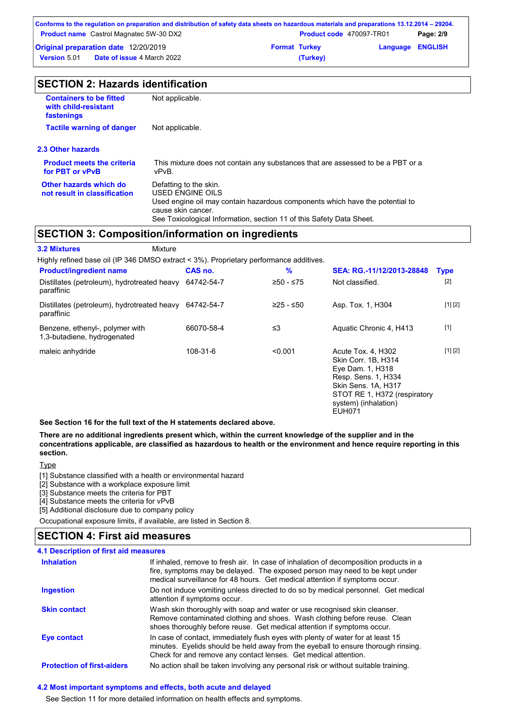|                     | Conforms to the regulation on preparation and distribution of safety data sheets on hazardous materials and preparations 13.12.2014 – 29204. |                      |                                 |                         |           |
|---------------------|----------------------------------------------------------------------------------------------------------------------------------------------|----------------------|---------------------------------|-------------------------|-----------|
|                     | <b>Product name</b> Castrol Magnatec 5W-30 DX2                                                                                               |                      | <b>Product code</b> 470097-TR01 |                         | Page: 2/9 |
|                     | <b>Original preparation date 12/20/2019</b>                                                                                                  | <b>Format Turkey</b> |                                 | <b>Language ENGLISH</b> |           |
| <b>Version 5.01</b> | <b>Date of issue 4 March 2022</b>                                                                                                            |                      | (Turkey)                        |                         |           |

|                                                                      | <b>SECTION 2: Hazards identification</b> |  |
|----------------------------------------------------------------------|------------------------------------------|--|
| <b>Containers to be fitted</b><br>with child-resistant<br>fastenings | Not applicable.                          |  |
| <b>Tactile warning of danger</b>                                     | Not applicable.                          |  |

**2.3 Other hazards**

| <b>Product meets the criteria</b>                      | This mixture does not contain any substances that are assessed to be a PBT or a                                                                                                                                          |
|--------------------------------------------------------|--------------------------------------------------------------------------------------------------------------------------------------------------------------------------------------------------------------------------|
| for PBT or vPvB                                        | vPvB.                                                                                                                                                                                                                    |
| Other hazards which do<br>not result in classification | Defatting to the skin.<br>USED ENGINE OILS<br>Used engine oil may contain hazardous components which have the potential to<br>cause skin cancer.<br>See Toxicological Information, section 11 of this Safety Data Sheet. |

### **SECTION 3: Composition/information on ingredients**

| <b>3.2 Mixtures</b><br>Mixture                                                         |            |           |                                                                                                                                                                                      |             |
|----------------------------------------------------------------------------------------|------------|-----------|--------------------------------------------------------------------------------------------------------------------------------------------------------------------------------------|-------------|
| Highly refined base oil (IP 346 DMSO extract < 3%). Proprietary performance additives. |            |           |                                                                                                                                                                                      |             |
| <b>Product/ingredient name</b>                                                         | CAS no.    | %         | SEA: RG.-11/12/2013-28848                                                                                                                                                            | <b>Type</b> |
| Distillates (petroleum), hydrotreated heavy<br>paraffinic                              | 64742-54-7 | ≥50 - ≤75 | Not classified.                                                                                                                                                                      | $[2]$       |
| Distillates (petroleum), hydrotreated heavy<br>paraffinic                              | 64742-54-7 | ≥25 - ≤50 | Asp. Tox. 1, H304                                                                                                                                                                    | [1] [2]     |
| Benzene, ethenyl-, polymer with<br>1,3-butadiene, hydrogenated                         | 66070-58-4 | ≤3        | Aquatic Chronic 4, H413                                                                                                                                                              | $[1]$       |
| maleic anhydride                                                                       | 108-31-6   | < 0.001   | Acute Tox. 4, H302<br>Skin Corr. 1B, H314<br>Eye Dam. 1, H318<br>Resp. Sens. 1, H334<br>Skin Sens. 1A, H317<br>STOT RE 1, H372 (respiratory<br>system) (inhalation)<br><b>FUH071</b> | [1] [2]     |

**See Section 16 for the full text of the H statements declared above.**

**There are no additional ingredients present which, within the current knowledge of the supplier and in the concentrations applicable, are classified as hazardous to health or the environment and hence require reporting in this section.**

**Type** 

[1] Substance classified with a health or environmental hazard

[2] Substance with a workplace exposure limit

[3] Substance meets the criteria for PBT

[4] Substance meets the criteria for vPvB

[5] Additional disclosure due to company policy

Occupational exposure limits, if available, are listed in Section 8.

### **SECTION 4: First aid measures**

### **4.1 Description of first aid measures**

| <b>Inhalation</b>                 | If inhaled, remove to fresh air. In case of inhalation of decomposition products in a<br>fire, symptoms may be delayed. The exposed person may need to be kept under<br>medical surveillance for 48 hours. Get medical attention if symptoms occur. |
|-----------------------------------|-----------------------------------------------------------------------------------------------------------------------------------------------------------------------------------------------------------------------------------------------------|
| <b>Ingestion</b>                  | Do not induce vomiting unless directed to do so by medical personnel. Get medical<br>attention if symptoms occur.                                                                                                                                   |
| <b>Skin contact</b>               | Wash skin thoroughly with soap and water or use recognised skin cleanser.<br>Remove contaminated clothing and shoes. Wash clothing before reuse. Clean<br>shoes thoroughly before reuse. Get medical attention if symptoms occur.                   |
| Eye contact                       | In case of contact, immediately flush eyes with plenty of water for at least 15<br>minutes. Eyelids should be held away from the eyeball to ensure thorough rinsing.<br>Check for and remove any contact lenses. Get medical attention.             |
| <b>Protection of first-aiders</b> | No action shall be taken involving any personal risk or without suitable training.                                                                                                                                                                  |

### **4.2 Most important symptoms and effects, both acute and delayed**

See Section 11 for more detailed information on health effects and symptoms.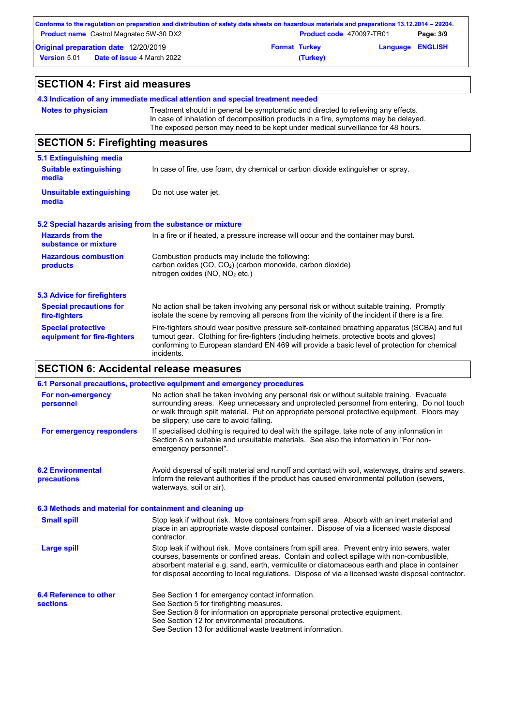| Conforms to the regulation on preparation and distribution of safety data sheets on hazardous materials and preparations 13.12.2014 – 29204.<br><b>Product name</b> Castrol Magnatec 5W-30 DX2 |  | <b>Product code</b> 470097-TR01 |                         | Page: 3/9 |
|------------------------------------------------------------------------------------------------------------------------------------------------------------------------------------------------|--|---------------------------------|-------------------------|-----------|
| <b>Original preparation date</b> 12/20/2019                                                                                                                                                    |  | <b>Format Turkey</b>            | <b>Language ENGLISH</b> |           |
| <b>Version 5.01</b><br><b>Date of issue 4 March 2022</b>                                                                                                                                       |  | (Turkey)                        |                         |           |

| <b>SECTION 4: First aid measures</b>                      |                                                                                                                                                                                                                                                                                                           |  |  |  |
|-----------------------------------------------------------|-----------------------------------------------------------------------------------------------------------------------------------------------------------------------------------------------------------------------------------------------------------------------------------------------------------|--|--|--|
|                                                           | 4.3 Indication of any immediate medical attention and special treatment needed                                                                                                                                                                                                                            |  |  |  |
| <b>Notes to physician</b>                                 | Treatment should in general be symptomatic and directed to relieving any effects.<br>In case of inhalation of decomposition products in a fire, symptoms may be delayed.<br>The exposed person may need to be kept under medical surveillance for 48 hours.                                               |  |  |  |
| <b>SECTION 5: Firefighting measures</b>                   |                                                                                                                                                                                                                                                                                                           |  |  |  |
| <b>5.1 Extinguishing media</b>                            |                                                                                                                                                                                                                                                                                                           |  |  |  |
| <b>Suitable extinguishing</b><br>media                    | In case of fire, use foam, dry chemical or carbon dioxide extinguisher or spray.                                                                                                                                                                                                                          |  |  |  |
| <b>Unsuitable extinguishing</b><br>media                  | Do not use water jet.                                                                                                                                                                                                                                                                                     |  |  |  |
| 5.2 Special hazards arising from the substance or mixture |                                                                                                                                                                                                                                                                                                           |  |  |  |
| <b>Hazards from the</b><br>substance or mixture           | In a fire or if heated, a pressure increase will occur and the container may burst.                                                                                                                                                                                                                       |  |  |  |
| <b>Hazardous combustion</b><br>products                   | Combustion products may include the following:<br>carbon oxides (CO, CO <sub>2</sub> ) (carbon monoxide, carbon dioxide)<br>nitrogen oxides (NO, NO <sub>2</sub> etc.)                                                                                                                                    |  |  |  |
| <b>5.3 Advice for firefighters</b>                        |                                                                                                                                                                                                                                                                                                           |  |  |  |
| <b>Special precautions for</b><br>fire-fighters           | No action shall be taken involving any personal risk or without suitable training. Promptly<br>isolate the scene by removing all persons from the vicinity of the incident if there is a fire.                                                                                                            |  |  |  |
| <b>Special protective</b><br>equipment for fire-fighters  | Fire-fighters should wear positive pressure self-contained breathing apparatus (SCBA) and full<br>turnout gear. Clothing for fire-fighters (including helmets, protective boots and gloves)<br>conforming to European standard EN 469 will provide a basic level of protection for chemical<br>incidents. |  |  |  |

# **SECTION 6: Accidental release measures**

|                                           | 6.1 Personal precautions, protective equipment and emergency procedures                                                                                                                                                                                                                                                                                                                        |
|-------------------------------------------|------------------------------------------------------------------------------------------------------------------------------------------------------------------------------------------------------------------------------------------------------------------------------------------------------------------------------------------------------------------------------------------------|
| For non-emergency<br>personnel            | No action shall be taken involving any personal risk or without suitable training. Evacuate<br>surrounding areas. Keep unnecessary and unprotected personnel from entering. Do not touch<br>or walk through spilt material. Put on appropriate personal protective equipment. Floors may<br>be slippery; use care to avoid falling.                                                            |
| For emergency responders                  | If specialised clothing is required to deal with the spillage, take note of any information in<br>Section 8 on suitable and unsuitable materials. See also the information in "For non-<br>emergency personnel".                                                                                                                                                                               |
| <b>6.2 Environmental</b><br>precautions   | Avoid dispersal of spilt material and runoff and contact with soil, waterways, drains and sewers.<br>Inform the relevant authorities if the product has caused environmental pollution (sewers,<br>waterways, soil or air).                                                                                                                                                                    |
|                                           | 6.3 Methods and material for containment and cleaning up                                                                                                                                                                                                                                                                                                                                       |
| <b>Small spill</b>                        | Stop leak if without risk. Move containers from spill area. Absorb with an inert material and<br>place in an appropriate waste disposal container. Dispose of via a licensed waste disposal<br>contractor.                                                                                                                                                                                     |
| <b>Large spill</b>                        | Stop leak if without risk. Move containers from spill area. Prevent entry into sewers, water<br>courses, basements or confined areas. Contain and collect spillage with non-combustible,<br>absorbent material e.g. sand, earth, vermiculite or diatomaceous earth and place in container<br>for disposal according to local regulations. Dispose of via a licensed waste disposal contractor. |
| 6.4 Reference to other<br><b>sections</b> | See Section 1 for emergency contact information.<br>See Section 5 for firefighting measures.<br>See Section 8 for information on appropriate personal protective equipment.<br>See Section 12 for environmental precautions.<br>See Section 13 for additional waste treatment information.                                                                                                     |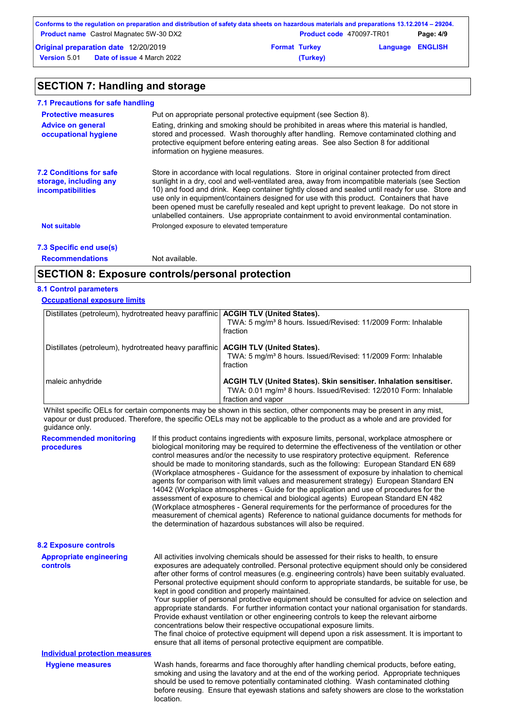|                     | Conforms to the regulation on preparation and distribution of safety data sheets on hazardous materials and preparations 13.12.2014 – 29204. |                      |                                 |                         |           |
|---------------------|----------------------------------------------------------------------------------------------------------------------------------------------|----------------------|---------------------------------|-------------------------|-----------|
|                     | <b>Product name</b> Castrol Magnatec 5W-30 DX2                                                                                               |                      | <b>Product code</b> 470097-TR01 |                         | Page: 4/9 |
|                     | Original preparation date 12/20/2019                                                                                                         | <b>Format Turkey</b> |                                 | <b>Language ENGLISH</b> |           |
| <b>Version 5.01</b> | <b>Date of issue 4 March 2022</b>                                                                                                            |                      | (Turkey)                        |                         |           |

# **SECTION 7: Handling and storage**

| 7.1 Precautions for safe handling                                                    |                                                                                                                                                                                                                                                                                                                                                                                                                                                                                                                                                                                             |
|--------------------------------------------------------------------------------------|---------------------------------------------------------------------------------------------------------------------------------------------------------------------------------------------------------------------------------------------------------------------------------------------------------------------------------------------------------------------------------------------------------------------------------------------------------------------------------------------------------------------------------------------------------------------------------------------|
| <b>Protective measures</b>                                                           | Put on appropriate personal protective equipment (see Section 8).                                                                                                                                                                                                                                                                                                                                                                                                                                                                                                                           |
| <b>Advice on general</b><br>occupational hygiene                                     | Eating, drinking and smoking should be prohibited in areas where this material is handled,<br>stored and processed. Wash thoroughly after handling. Remove contaminated clothing and<br>protective equipment before entering eating areas. See also Section 8 for additional<br>information on hygiene measures.                                                                                                                                                                                                                                                                            |
| <b>7.2 Conditions for safe</b><br>storage, including any<br><i>incompatibilities</i> | Store in accordance with local regulations. Store in original container protected from direct<br>sunlight in a dry, cool and well-ventilated area, away from incompatible materials (see Section<br>10) and food and drink. Keep container tightly closed and sealed until ready for use. Store and<br>use only in equipment/containers designed for use with this product. Containers that have<br>been opened must be carefully resealed and kept upright to prevent leakage. Do not store in<br>unlabelled containers. Use appropriate containment to avoid environmental contamination. |
| <b>Not suitable</b>                                                                  | Prolonged exposure to elevated temperature                                                                                                                                                                                                                                                                                                                                                                                                                                                                                                                                                  |
| 7.3 Specific end use(s)                                                              |                                                                                                                                                                                                                                                                                                                                                                                                                                                                                                                                                                                             |
| <b>Recommendations</b>                                                               | Not available.                                                                                                                                                                                                                                                                                                                                                                                                                                                                                                                                                                              |

### **SECTION 8: Exposure controls/personal protection**

### **8.1 Control parameters**

### **Occupational exposure limits**

| Distillates (petroleum), hydrotreated heavy paraffinic   ACGIH TLV (United States). | TWA: 5 mg/m <sup>3</sup> 8 hours. Issued/Revised: 11/2009 Form: Inhalable<br>fraction                                                                                    |
|-------------------------------------------------------------------------------------|--------------------------------------------------------------------------------------------------------------------------------------------------------------------------|
| Distillates (petroleum), hydrotreated heavy paraffinic   ACGIH TLV (United States). | TWA: 5 mg/m <sup>3</sup> 8 hours. Issued/Revised: 11/2009 Form: Inhalable<br>fraction                                                                                    |
| maleic anhydride                                                                    | ACGIH TLV (United States). Skin sensitiser. Inhalation sensitiser.<br>TWA: 0.01 mg/m <sup>3</sup> 8 hours. Issued/Revised: 12/2010 Form: Inhalable<br>fraction and vapor |

Whilst specific OELs for certain components may be shown in this section, other components may be present in any mist, vapour or dust produced. Therefore, the specific OELs may not be applicable to the product as a whole and are provided for guidance only.

| <b>Recommended monitoring</b><br>procedures | If this product contains ingredients with exposure limits, personal, workplace atmosphere or<br>biological monitoring may be required to determine the effectiveness of the ventilation or other<br>control measures and/or the necessity to use respiratory protective equipment. Reference<br>should be made to monitoring standards, such as the following: European Standard EN 689<br>(Workplace atmospheres - Guidance for the assessment of exposure by inhalation to chemical<br>agents for comparison with limit values and measurement strategy) European Standard EN<br>14042 (Workplace atmospheres - Guide for the application and use of procedures for the<br>assessment of exposure to chemical and biological agents) European Standard EN 482<br>(Workplace atmospheres - General requirements for the performance of procedures for the<br>measurement of chemical agents) Reference to national quidance documents for methods for<br>the determination of hazardous substances will also be required. |
|---------------------------------------------|----------------------------------------------------------------------------------------------------------------------------------------------------------------------------------------------------------------------------------------------------------------------------------------------------------------------------------------------------------------------------------------------------------------------------------------------------------------------------------------------------------------------------------------------------------------------------------------------------------------------------------------------------------------------------------------------------------------------------------------------------------------------------------------------------------------------------------------------------------------------------------------------------------------------------------------------------------------------------------------------------------------------------|
| <b>8.2 Exposure controls</b>                |                                                                                                                                                                                                                                                                                                                                                                                                                                                                                                                                                                                                                                                                                                                                                                                                                                                                                                                                                                                                                            |
| <b>Appropriate engineering</b><br>controls  | All activities involving chemicals should be assessed for their risks to health, to ensure<br>exposures are adequately controlled. Personal protective equipment should only be considered<br>after other forms of control measures (e.g. engineering controls) have been suitably evaluated.<br>Personal protective equipment should conform to appropriate standards, be suitable for use, be<br>kept in good condition and properly maintained.<br>Your supplier of personal protective equipment should be consulted for advice on selection and<br>appropriate standards. For further information contact your national organisation for standards.<br>Provide exhaust ventilation or other engineering controls to keep the relevant airborne<br>concentrations below their respective occupational exposure limits.<br>The final choice of protective equipment will depend upon a risk assessment. It is important to<br>ensure that all items of personal protective equipment are compatible.                    |
| <b>Individual protection measures</b>       |                                                                                                                                                                                                                                                                                                                                                                                                                                                                                                                                                                                                                                                                                                                                                                                                                                                                                                                                                                                                                            |
| <b>Hygiene measures</b>                     | Wash hands, forearms and face thoroughly after handling chemical products, before eating,<br>smoking and using the lavatory and at the end of the working period. Appropriate techniques<br>should be used to remove potentially contaminated clothing. Wash contaminated clothing<br>before reusing. Ensure that eyewash stations and safety showers are close to the workstation<br>location.                                                                                                                                                                                                                                                                                                                                                                                                                                                                                                                                                                                                                            |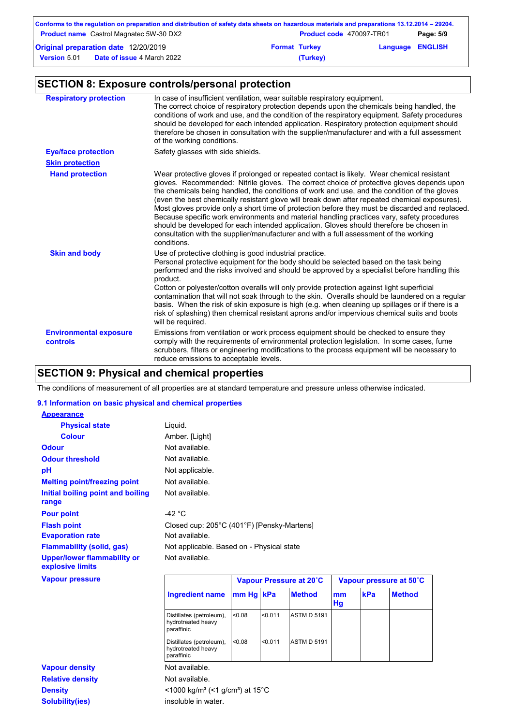| Conforms to the regulation on preparation and distribution of safety data sheets on hazardous materials and preparations 13.12.2014 – 29204. |                      |                                 |                         |           |
|----------------------------------------------------------------------------------------------------------------------------------------------|----------------------|---------------------------------|-------------------------|-----------|
| <b>Product name</b> Castrol Magnatec 5W-30 DX2                                                                                               |                      | <b>Product code</b> 470097-TR01 |                         | Page: 5/9 |
| Original preparation date 12/20/2019                                                                                                         | <b>Format Turkey</b> |                                 | <b>Language ENGLISH</b> |           |
| <b>Date of issue 4 March 2022</b><br><b>Version 5.01</b>                                                                                     |                      | (Turkey)                        |                         |           |

# **SECTION 8: Exposure controls/personal protection**

| <b>Respiratory protection</b>             | In case of insufficient ventilation, wear suitable respiratory equipment.<br>The correct choice of respiratory protection depends upon the chemicals being handled, the<br>conditions of work and use, and the condition of the respiratory equipment. Safety procedures<br>should be developed for each intended application. Respiratory protection equipment should<br>therefore be chosen in consultation with the supplier/manufacturer and with a full assessment<br>of the working conditions.                                                                                                                                                                                                                                                                                        |
|-------------------------------------------|----------------------------------------------------------------------------------------------------------------------------------------------------------------------------------------------------------------------------------------------------------------------------------------------------------------------------------------------------------------------------------------------------------------------------------------------------------------------------------------------------------------------------------------------------------------------------------------------------------------------------------------------------------------------------------------------------------------------------------------------------------------------------------------------|
| <b>Eye/face protection</b>                | Safety glasses with side shields.                                                                                                                                                                                                                                                                                                                                                                                                                                                                                                                                                                                                                                                                                                                                                            |
| <b>Skin protection</b>                    |                                                                                                                                                                                                                                                                                                                                                                                                                                                                                                                                                                                                                                                                                                                                                                                              |
| <b>Hand protection</b>                    | Wear protective gloves if prolonged or repeated contact is likely. Wear chemical resistant<br>gloves. Recommended: Nitrile gloves. The correct choice of protective gloves depends upon<br>the chemicals being handled, the conditions of work and use, and the condition of the gloves<br>(even the best chemically resistant glove will break down after repeated chemical exposures).<br>Most gloves provide only a short time of protection before they must be discarded and replaced.<br>Because specific work environments and material handling practices vary, safety procedures<br>should be developed for each intended application. Gloves should therefore be chosen in<br>consultation with the supplier/manufacturer and with a full assessment of the working<br>conditions. |
| <b>Skin and body</b>                      | Use of protective clothing is good industrial practice.<br>Personal protective equipment for the body should be selected based on the task being<br>performed and the risks involved and should be approved by a specialist before handling this<br>product.<br>Cotton or polyester/cotton overalls will only provide protection against light superficial<br>contamination that will not soak through to the skin. Overalls should be laundered on a regular<br>basis. When the risk of skin exposure is high (e.g. when cleaning up spillages or if there is a<br>risk of splashing) then chemical resistant aprons and/or impervious chemical suits and boots<br>will be required.                                                                                                        |
| <b>Environmental exposure</b><br>controls | Emissions from ventilation or work process equipment should be checked to ensure they<br>comply with the requirements of environmental protection legislation. In some cases, fume<br>scrubbers, filters or engineering modifications to the process equipment will be necessary to<br>reduce emissions to acceptable levels.                                                                                                                                                                                                                                                                                                                                                                                                                                                                |

# **SECTION 9: Physical and chemical properties**

The conditions of measurement of all properties are at standard temperature and pressure unless otherwise indicated.

### **9.1 Information on basic physical and chemical properties**

**Density Solubility(ies)** 

| <b>Appearance</b>                                      |                 |                                            |
|--------------------------------------------------------|-----------------|--------------------------------------------|
| <b>Physical state</b>                                  | Liquid.         |                                            |
| <b>Colour</b>                                          | Amber. [Light]  |                                            |
| <b>Odour</b>                                           | Not available.  |                                            |
| <b>Odour threshold</b>                                 | Not available.  |                                            |
| рH                                                     | Not applicable. |                                            |
| <b>Melting point/freezing point</b>                    | Not available.  |                                            |
| Initial boiling point and boiling<br>range             | Not available.  |                                            |
| <b>Pour point</b>                                      | -42 °C          |                                            |
| <b>Flash point</b>                                     |                 | Closed cup: 205°C (401°F) [Pensky-Martens] |
| <b>Evaporation rate</b>                                | Not available.  |                                            |
| <b>Flammability (solid, gas)</b>                       |                 | Not applicable. Based on - Physical state  |
| <b>Upper/lower flammability or</b><br>explosive limits | Not available.  |                                            |
| <b>Vapour pressure</b>                                 |                 | Vapour Pressure at 20°C                    |

| <b>Vapour pressure</b>  |                                                                         |           |         | Vapour Pressure at 20°C | Vapour pressure at 50°C |            |               |
|-------------------------|-------------------------------------------------------------------------|-----------|---------|-------------------------|-------------------------|------------|---------------|
|                         | Ingredient name                                                         | mm Hg kPa |         | <b>Method</b>           | mm<br>Hg                | <b>kPa</b> | <b>Method</b> |
|                         | Distillates (petroleum),<br>hydrotreated heavy<br>paraffinic            | < 0.08    | < 0.011 | <b>ASTM D 5191</b>      |                         |            |               |
|                         | Distillates (petroleum),<br>hydrotreated heavy<br>paraffinic            | < 0.08    | < 0.011 | <b>ASTM D 5191</b>      |                         |            |               |
| <b>Vapour density</b>   | Not available.                                                          |           |         |                         |                         |            |               |
| <b>Relative density</b> | Not available.                                                          |           |         |                         |                         |            |               |
| <b>Density</b>          | $<$ 1000 kg/m <sup>3</sup> (<1 g/cm <sup>3</sup> ) at 15 <sup>°</sup> C |           |         |                         |                         |            |               |
| <b>Solubility(ies)</b>  | insoluble in water.                                                     |           |         |                         |                         |            |               |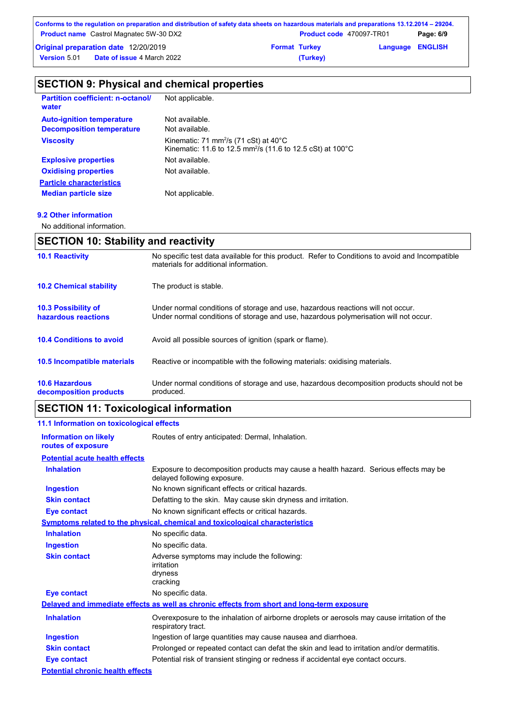|          |                      | Page: 6/9                                                                                                                                                                                                  |
|----------|----------------------|------------------------------------------------------------------------------------------------------------------------------------------------------------------------------------------------------------|
|          |                      |                                                                                                                                                                                                            |
| (Turkey) |                      |                                                                                                                                                                                                            |
|          | <b>Format Turkey</b> | Conforms to the regulation on preparation and distribution of safety data sheets on hazardous materials and preparations 13.12.2014 – 29204.<br><b>Product code</b> 470097-TR01<br><b>Language ENGLISH</b> |

# **SECTION 9: Physical and chemical properties**

| <b>Partition coefficient: n-octanol/</b><br>water | Not applicable.                                                                                                                       |
|---------------------------------------------------|---------------------------------------------------------------------------------------------------------------------------------------|
| <b>Auto-ignition temperature</b>                  | Not available.                                                                                                                        |
| <b>Decomposition temperature</b>                  | Not available.                                                                                                                        |
| <b>Viscosity</b>                                  | Kinematic: 71 mm <sup>2</sup> /s (71 cSt) at $40^{\circ}$ C<br>Kinematic: 11.6 to 12.5 mm <sup>2</sup> /s (11.6 to 12.5 cSt) at 100°C |
| <b>Explosive properties</b>                       | Not available.                                                                                                                        |
| <b>Oxidising properties</b>                       | Not available.                                                                                                                        |
| <b>Particle characteristics</b>                   |                                                                                                                                       |
| <b>Median particle size</b>                       | Not applicable.                                                                                                                       |

### **9.2 Other information**

No additional information.

## **SECTION 10: Stability and reactivity**

| <b>10.1 Reactivity</b>                          | No specific test data available for this product. Refer to Conditions to avoid and Incompatible<br>materials for additional information.                                |
|-------------------------------------------------|-------------------------------------------------------------------------------------------------------------------------------------------------------------------------|
| <b>10.2 Chemical stability</b>                  | The product is stable.                                                                                                                                                  |
| 10.3 Possibility of<br>hazardous reactions      | Under normal conditions of storage and use, hazardous reactions will not occur.<br>Under normal conditions of storage and use, hazardous polymerisation will not occur. |
| <b>10.4 Conditions to avoid</b>                 | Avoid all possible sources of ignition (spark or flame).                                                                                                                |
| <b>10.5 Incompatible materials</b>              | Reactive or incompatible with the following materials: oxidising materials.                                                                                             |
| <b>10.6 Hazardous</b><br>decomposition products | Under normal conditions of storage and use, hazardous decomposition products should not be<br>produced.                                                                 |

# **SECTION 11: Toxicological information**

| 11.1 Information on toxicological effects          |                                                                                                                     |
|----------------------------------------------------|---------------------------------------------------------------------------------------------------------------------|
| <b>Information on likely</b><br>routes of exposure | Routes of entry anticipated: Dermal, Inhalation.                                                                    |
| <b>Potential acute health effects</b>              |                                                                                                                     |
| <b>Inhalation</b>                                  | Exposure to decomposition products may cause a health hazard. Serious effects may be<br>delayed following exposure. |
| <b>Ingestion</b>                                   | No known significant effects or critical hazards.                                                                   |
| <b>Skin contact</b>                                | Defatting to the skin. May cause skin dryness and irritation.                                                       |
| Eye contact                                        | No known significant effects or critical hazards.                                                                   |
|                                                    | Symptoms related to the physical, chemical and toxicological characteristics                                        |
| <b>Inhalation</b>                                  | No specific data.                                                                                                   |
| <b>Ingestion</b>                                   | No specific data.                                                                                                   |
| <b>Skin contact</b>                                | Adverse symptoms may include the following:<br>irritation<br>dryness<br>cracking                                    |
| <b>Eye contact</b>                                 | No specific data.                                                                                                   |
|                                                    | Delayed and immediate effects as well as chronic effects from short and long-term exposure                          |
| <b>Inhalation</b>                                  | Overexposure to the inhalation of airborne droplets or aerosols may cause irritation of the<br>respiratory tract.   |
| <b>Ingestion</b>                                   | Ingestion of large quantities may cause nausea and diarrhoea.                                                       |
| <b>Skin contact</b>                                | Prolonged or repeated contact can defat the skin and lead to irritation and/or dermatitis.                          |
| Eye contact                                        | Potential risk of transient stinging or redness if accidental eye contact occurs.                                   |
| <b>Potential chronic health effects</b>            |                                                                                                                     |
|                                                    |                                                                                                                     |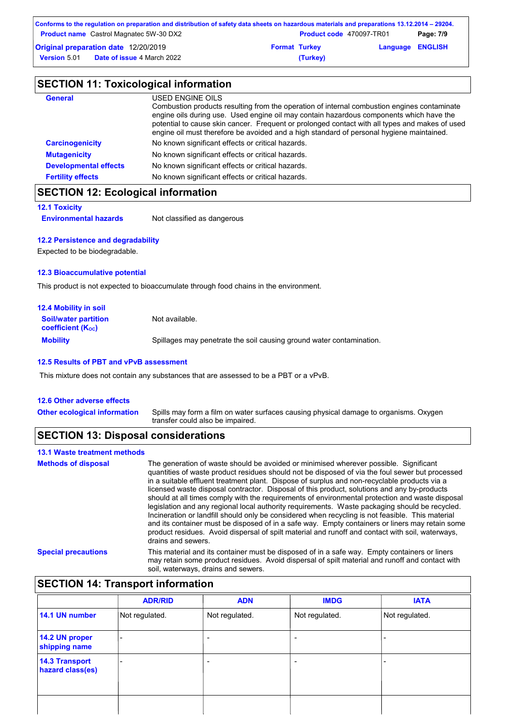| Conforms to the regulation on preparation and distribution of safety data sheets on hazardous materials and preparations 13.12.2014 – 29204. |                      |                                 |                         |           |
|----------------------------------------------------------------------------------------------------------------------------------------------|----------------------|---------------------------------|-------------------------|-----------|
| <b>Product name</b> Castrol Magnatec 5W-30 DX2                                                                                               |                      | <b>Product code</b> 470097-TR01 |                         | Page: 7/9 |
| Original preparation date 12/20/2019                                                                                                         | <b>Format Turkey</b> |                                 | <b>Language ENGLISH</b> |           |
| <b>Date of issue 4 March 2022</b><br><b>Version 5.01</b>                                                                                     |                      | (Turkey)                        |                         |           |

| <b>SECTION 11: Toxicological information</b> |                                                                                                                                                                                                                                                                                                                                                                                                          |  |
|----------------------------------------------|----------------------------------------------------------------------------------------------------------------------------------------------------------------------------------------------------------------------------------------------------------------------------------------------------------------------------------------------------------------------------------------------------------|--|
| <b>General</b>                               | USED ENGINE OILS<br>Combustion products resulting from the operation of internal combustion engines contaminate<br>engine oils during use. Used engine oil may contain hazardous components which have the<br>potential to cause skin cancer. Frequent or prolonged contact with all types and makes of used<br>engine oil must therefore be avoided and a high standard of personal hygiene maintained. |  |
| <b>Carcinogenicity</b>                       | No known significant effects or critical hazards.                                                                                                                                                                                                                                                                                                                                                        |  |
| <b>Mutagenicity</b>                          | No known significant effects or critical hazards.                                                                                                                                                                                                                                                                                                                                                        |  |
| <b>Developmental effects</b>                 | No known significant effects or critical hazards.                                                                                                                                                                                                                                                                                                                                                        |  |
| <b>Fertility effects</b>                     | No known significant effects or critical hazards.                                                                                                                                                                                                                                                                                                                                                        |  |

## **SECTION 12: Ecological information**

#### **12.1 Toxicity**

**Environmental hazards** Not classified as dangerous

### **12.2 Persistence and degradability**

Expected to be biodegradable.

#### **12.3 Bioaccumulative potential**

This product is not expected to bioaccumulate through food chains in the environment.

| <b>12.4 Mobility in soil</b>                            |                                                                      |
|---------------------------------------------------------|----------------------------------------------------------------------|
| <b>Soil/water partition</b><br><b>coefficient (Koc)</b> | Not available.                                                       |
| <b>Mobility</b>                                         | Spillages may penetrate the soil causing ground water contamination. |

#### **12.5 Results of PBT and vPvB assessment**

This mixture does not contain any substances that are assessed to be a PBT or a vPvB.

#### **12.6 Other adverse effects**

**Other ecological information**

Spills may form a film on water surfaces causing physical damage to organisms. Oxygen transfer could also be impaired.

### **SECTION 13: Disposal considerations**

## **13.1 Waste treatment methods**

| <b>Methods of disposal</b> | The generation of waste should be avoided or minimised wherever possible. Significant<br>quantities of waste product residues should not be disposed of via the foul sewer but processed<br>in a suitable effluent treatment plant. Dispose of surplus and non-recyclable products via a<br>licensed waste disposal contractor. Disposal of this product, solutions and any by-products<br>should at all times comply with the requirements of environmental protection and waste disposal<br>legislation and any regional local authority reguirements. Waste packaging should be recycled.<br>Incineration or landfill should only be considered when recycling is not feasible. This material<br>and its container must be disposed of in a safe way. Empty containers or liners may retain some<br>product residues. Avoid dispersal of spilt material and runoff and contact with soil, waterways,<br>drains and sewers. |
|----------------------------|-------------------------------------------------------------------------------------------------------------------------------------------------------------------------------------------------------------------------------------------------------------------------------------------------------------------------------------------------------------------------------------------------------------------------------------------------------------------------------------------------------------------------------------------------------------------------------------------------------------------------------------------------------------------------------------------------------------------------------------------------------------------------------------------------------------------------------------------------------------------------------------------------------------------------------|
| <b>Special precautions</b> | This material and its container must be disposed of in a safe way. Empty containers or liners<br>may retain some product residues. Avoid dispersal of spilt material and runoff and contact with<br>soil, waterways, drains and sewers.                                                                                                                                                                                                                                                                                                                                                                                                                                                                                                                                                                                                                                                                                       |

# **SECTION 14: Transport information**

|                                           | <b>ADR/RID</b> | <b>ADN</b>               | <b>IMDG</b>              | <b>IATA</b>    |
|-------------------------------------------|----------------|--------------------------|--------------------------|----------------|
| 14.1 UN number                            | Not regulated. | Not regulated.           | Not regulated.           | Not regulated. |
| 14.2 UN proper<br>shipping name           | -              | $\overline{\phantom{a}}$ | $\overline{\phantom{0}}$ |                |
| <b>14.3 Transport</b><br>hazard class(es) |                | $\overline{\phantom{a}}$ | $\overline{\phantom{0}}$ |                |
|                                           |                |                          |                          |                |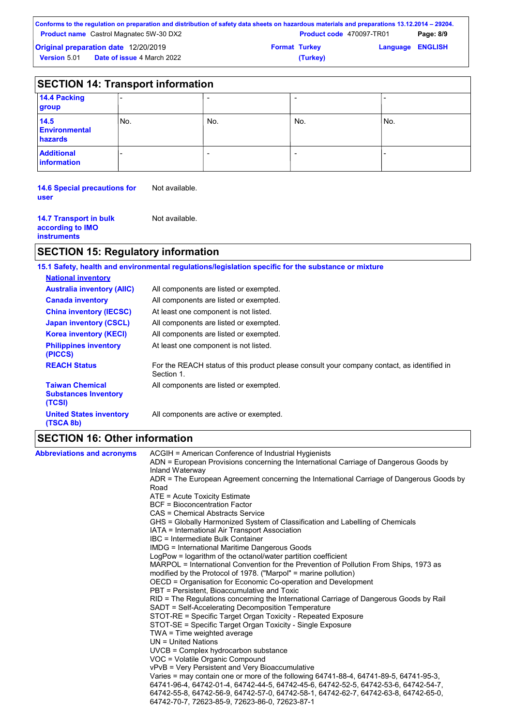| Conforms to the regulation on preparation and distribution of safety data sheets on hazardous materials and preparations 13.12.2014 – 29204. |                                 |                         |           |
|----------------------------------------------------------------------------------------------------------------------------------------------|---------------------------------|-------------------------|-----------|
| <b>Product name</b> Castrol Magnatec 5W-30 DX2                                                                                               | <b>Product code</b> 470097-TR01 |                         | Page: 8/9 |
| <b>Original preparation date 12/20/2019</b>                                                                                                  | <b>Format Turkey</b>            | <b>Language ENGLISH</b> |           |
| <b>Date of issue 4 March 2022</b><br><b>Version 5.01</b>                                                                                     | (Turkey)                        |                         |           |

| <b>SECTION 14: Transport information</b> |     |     |     |     |
|------------------------------------------|-----|-----|-----|-----|
| 14.4 Packing<br>group                    |     |     |     |     |
| 14.5<br><b>Environmental</b><br>hazards  | No. | No. | No. | No. |
| <b>Additional</b><br><b>information</b>  |     |     |     |     |

**14.6 Special precautions for**  Not available. **user**

| <b>14.7 Transport in bulk</b><br>according to IMO<br><b>instruments</b> | Not available. |
|-------------------------------------------------------------------------|----------------|
|-------------------------------------------------------------------------|----------------|

# **SECTION 15: Regulatory information**

|                                                                 | 15.1 Safety, health and environmental regulations/legislation specific for the substance or mixture      |
|-----------------------------------------------------------------|----------------------------------------------------------------------------------------------------------|
| <b>National inventory</b>                                       |                                                                                                          |
| <b>Australia inventory (AIIC)</b>                               | All components are listed or exempted.                                                                   |
| <b>Canada inventory</b>                                         | All components are listed or exempted.                                                                   |
| <b>China inventory (IECSC)</b>                                  | At least one component is not listed.                                                                    |
| <b>Japan inventory (CSCL)</b>                                   | All components are listed or exempted.                                                                   |
| <b>Korea inventory (KECI)</b>                                   | All components are listed or exempted.                                                                   |
| <b>Philippines inventory</b><br>(PICCS)                         | At least one component is not listed.                                                                    |
| <b>REACH Status</b>                                             | For the REACH status of this product please consult your company contact, as identified in<br>Section 1. |
| <b>Taiwan Chemical</b><br><b>Substances Inventory</b><br>(TCSI) | All components are listed or exempted.                                                                   |
| <b>United States inventory</b><br>(TSCA 8b)                     | All components are active or exempted.                                                                   |

# **SECTION 16: Other information**

| <b>Abbreviations and acronyms</b> | ACGIH = American Conference of Industrial Hygienists                                                                                         |
|-----------------------------------|----------------------------------------------------------------------------------------------------------------------------------------------|
|                                   | ADN = European Provisions concerning the International Carriage of Dangerous Goods by<br>Inland Waterway                                     |
|                                   | ADR = The European Agreement concerning the International Carriage of Dangerous Goods by                                                     |
|                                   | Road                                                                                                                                         |
|                                   | ATE = Acute Toxicity Estimate                                                                                                                |
|                                   | <b>BCF</b> = Bioconcentration Factor                                                                                                         |
|                                   | CAS = Chemical Abstracts Service                                                                                                             |
|                                   | GHS = Globally Harmonized System of Classification and Labelling of Chemicals                                                                |
|                                   | IATA = International Air Transport Association                                                                                               |
|                                   | IBC = Intermediate Bulk Container                                                                                                            |
|                                   | <b>IMDG</b> = International Maritime Dangerous Goods                                                                                         |
|                                   | LogPow = logarithm of the octanol/water partition coefficient                                                                                |
|                                   | MARPOL = International Convention for the Prevention of Pollution From Ships, 1973 as                                                        |
|                                   | modified by the Protocol of 1978. ("Marpol" = marine pollution)                                                                              |
|                                   | OECD = Organisation for Economic Co-operation and Development                                                                                |
|                                   | PBT = Persistent, Bioaccumulative and Toxic                                                                                                  |
|                                   | RID = The Regulations concerning the International Carriage of Dangerous Goods by Rail<br>SADT = Self-Accelerating Decomposition Temperature |
|                                   | STOT-RE = Specific Target Organ Toxicity - Repeated Exposure                                                                                 |
|                                   | STOT-SE = Specific Target Organ Toxicity - Single Exposure                                                                                   |
|                                   | TWA = Time weighted average                                                                                                                  |
|                                   | $UN = United Nations$                                                                                                                        |
|                                   | $UVCB = Complex\;hydrocarbon\; substance$                                                                                                    |
|                                   | VOC = Volatile Organic Compound                                                                                                              |
|                                   | vPvB = Very Persistent and Very Bioaccumulative                                                                                              |
|                                   | Varies = may contain one or more of the following 64741-88-4, 64741-89-5, 64741-95-3,                                                        |
|                                   | 64741-96-4, 64742-01-4, 64742-44-5, 64742-45-6, 64742-52-5, 64742-53-6, 64742-54-7,                                                          |
|                                   | 64742-55-8, 64742-56-9, 64742-57-0, 64742-58-1, 64742-62-7, 64742-63-8, 64742-65-0,                                                          |
|                                   | 64742-70-7, 72623-85-9, 72623-86-0, 72623-87-1                                                                                               |
|                                   |                                                                                                                                              |